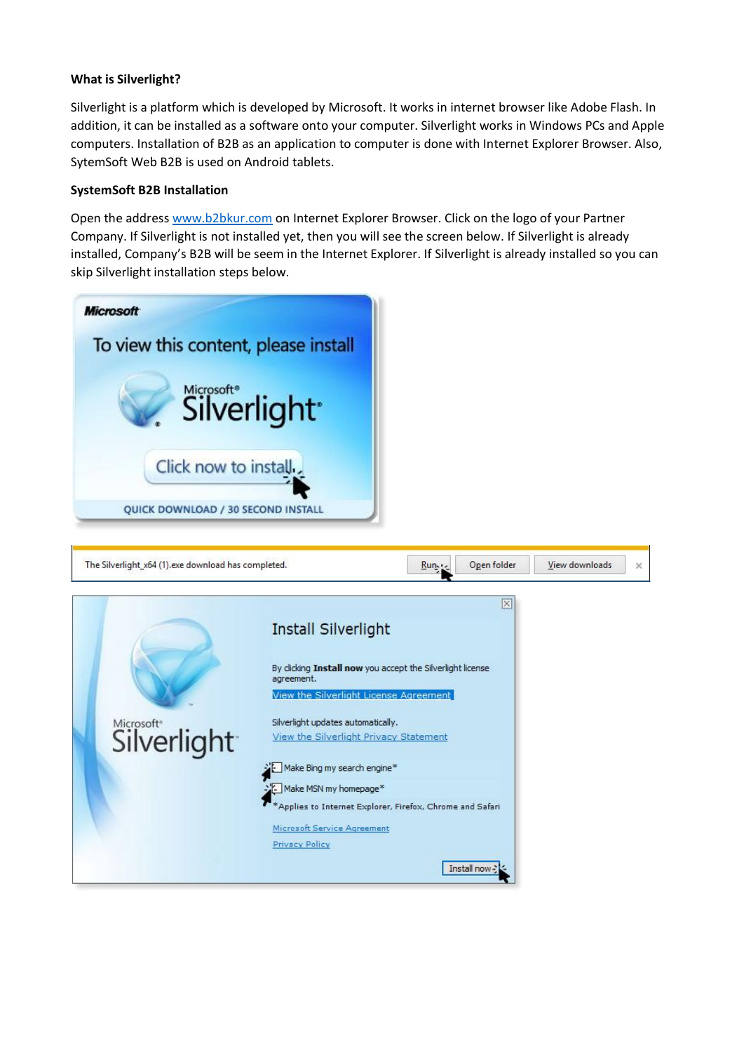## **What is Silverlight?**

Silverlight is a platform which is developed by Microsoft. It works in internet browser like Adobe Flash. In addition, it can be installed as a software onto your computer. Silverlight works in Windows PCs and Apple computers. Installation of B2B as an application to computer is done with Internet Explorer Browser. Also, SytemSoft Web B2B is used on Android tablets.

## **SystemSoft B2B Installation**

Open the address [www.b2bkur.com](http://www.b2bkur.com/) on Internet Explorer Browser. Click on the logo of your Partner Company. If Silverlight is not installed yet, then you will see the screen below. If Silverlight is already installed, Company's B2B will be seem in the Internet Explorer. If Silverlight is already installed so you can skip Silverlight installation steps below.

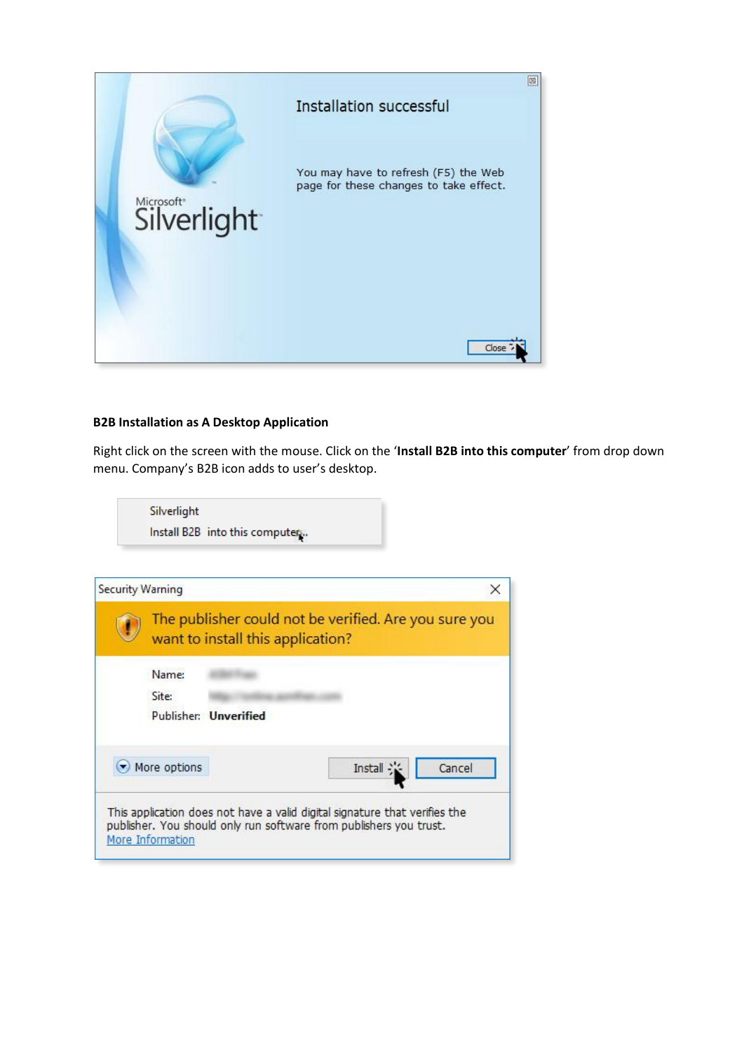

## **B2B Installation as A Desktop Application**

Right click on the screen with the mouse. Click on the '**Install B2B into this computer**' from drop down menu. Company's B2B icon adds to user's desktop.

Silverlight Install B2B into this computer.

|                                   | The publisher could not be verified. Are you sure you |                                                                            |
|-----------------------------------|-------------------------------------------------------|----------------------------------------------------------------------------|
| want to install this application? |                                                       |                                                                            |
|                                   |                                                       |                                                                            |
|                                   | Install                                               | Cancel                                                                     |
|                                   | Name:<br>Publisher: Unverified<br>More options        | This application does not have a valid digital signature that verifies the |